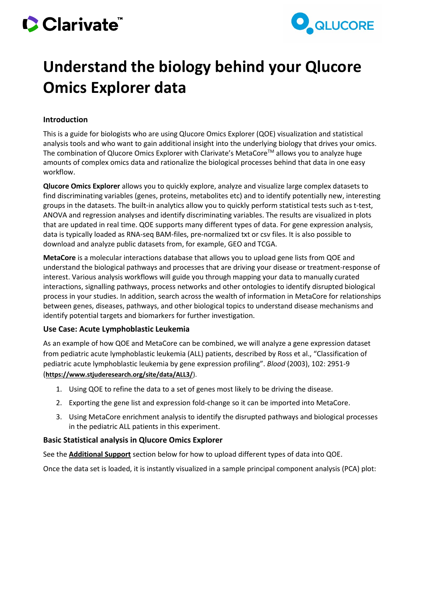# Clarivate



## **Understand the biology behind your Qlucore Omics Explorer data**

### **Introduction**

This is a guide for biologists who are using Qlucore Omics Explorer (QOE) visualization and statistical analysis tools and who want to gain additional insight into the underlying biology that drives your omics. The combination of Qlucore Omics Explorer with Clarivate's MetaCore™ allows you to analyze huge amounts of complex omics data and rationalize the biological processes behind that data in one easy workflow.

**Qlucore Omics Explorer** allows you to quickly explore, analyze and visualize large complex datasets to find discriminating variables (genes, proteins, metabolites etc) and to identify potentially new, interesting groups in the datasets. The built-in analytics allow you to quickly perform statistical tests such as t-test, ANOVA and regression analyses and identify discriminating variables. The results are visualized in plots that are updated in real time. QOE supports many different types of data. For gene expression analysis, data is typically loaded as RNA-seq BAM-files, pre-normalized txt or csv files. It is also possible to download and analyze public datasets from, for example, GEO and TCGA.

**MetaCore** is a molecular interactions database that allows you to upload gene lists from QOE and understand the biological pathways and processes that are driving your disease or treatment-response of interest. Various analysis workflows will guide you through mapping your data to manually curated interactions, signalling pathways, process networks and other ontologies to identify disrupted biological process in your studies. In addition, search across the wealth of information in MetaCore for relationships between genes, diseases, pathways, and other biological topics to understand disease mechanisms and identify potential targets and biomarkers for further investigation.

### **Use Case: Acute Lymphoblastic Leukemia**

As an example of how QOE and MetaCore can be combined, we will analyze a gene expression dataset from pediatric acute lymphoblastic leukemia (ALL) patients, described by Ross et al., "Classification of pediatric acute lymphoblastic leukemia by gene expression profiling". *Blood* (2003), 102: 2951-9 (**<https://www.stjuderesearch.org/site/data/ALL3/>**).

- 1. Using QOE to refine the data to a set of genes most likely to be driving the disease.
- 2. Exporting the gene list and expression fold-change so it can be imported into MetaCore.
- 3. Using MetaCore enrichment analysis to identify the disrupted pathways and biological processes in the pediatric ALL patients in this experiment.

#### **Basic Statistical analysis in Qlucore Omics Explorer**

See the **[Additional Support](#page-6-0)** section below for how to upload different types of data into QOE.

Once the data set is loaded, it is instantly visualized in a sample principal component analysis (PCA) plot: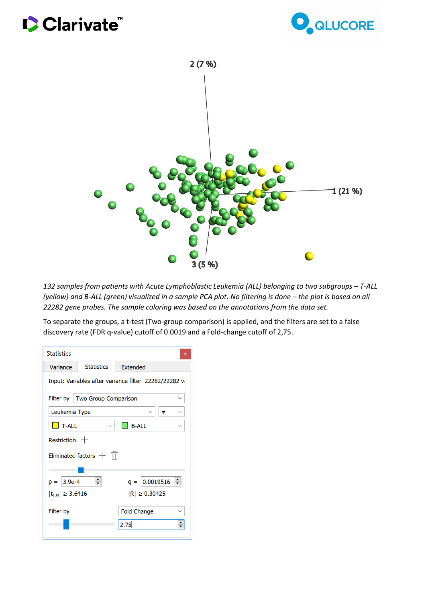# Clarivate





132 samples from patients with Acute Lymphoblastic Leukemia (ALL) belonging to two subgroups – T-ALL *(yellow) and B-ALL (green) visualized in a sample PCA plot. No filtering is done – the plot is based on all 22282 gene probes. The sample coloring was based on the annotations from the data set.*

To separate the groups, a t-test (Two-group comparison) is applied, and the filters are set to a false discovery rate (FDR q-value) cutoff of 0.0019 and a Fold-change cutoff of 2,75.

| <b>Statistics</b>                                    |                                  |                    | ×      |  |  |  |  |  |  |
|------------------------------------------------------|----------------------------------|--------------------|--------|--|--|--|--|--|--|
| Variance                                             | <b>Statistics</b>                | <b>Extended</b>    |        |  |  |  |  |  |  |
| Input: Variables after variance filter 22282/22282 v |                                  |                    |        |  |  |  |  |  |  |
|                                                      | Filter by   Two Group Comparison |                    |        |  |  |  |  |  |  |
| Leukemia Type                                        |                                  |                    | ≠      |  |  |  |  |  |  |
| <b>T-ALL</b>                                         |                                  | <b>B-ALL</b>       |        |  |  |  |  |  |  |
| Restriction $+$                                      |                                  |                    |        |  |  |  |  |  |  |
| Eliminated factors $+$ $\overline{\mathbb{m}}$       |                                  |                    |        |  |  |  |  |  |  |
|                                                      |                                  |                    |        |  |  |  |  |  |  |
| $3.9e-4$<br>$D =$                                    |                                  | $q =  0.0019516 $  | $\div$ |  |  |  |  |  |  |
| $ t_{130}  \geq 3.6416$                              |                                  | $ R  \ge 0.30425$  |        |  |  |  |  |  |  |
| Filter by                                            |                                  | <b>Fold Change</b> |        |  |  |  |  |  |  |
|                                                      |                                  | 2.75               |        |  |  |  |  |  |  |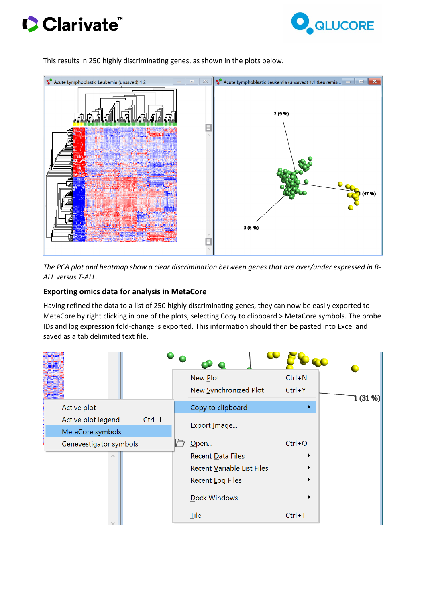





This results in 250 highly discriminating genes, as shown in the plots below.

*The PCA plot and heatmap show a clear discrimination between genes that are over/under expressed in B-ALL versus T-ALL.*

#### **Exporting omics data for analysis in MetaCore**

Having refined the data to a list of 250 highly discriminating genes, they can now be easily exported to MetaCore by right clicking in one of the plots, selecting Copy to clipboard > MetaCore symbols. The probe IDs and log expression fold-change is exported. This information should then be pasted into Excel and saved as a tab delimited text file.

|                        |          | New Plot<br>New Synchronized Plot | $Ctrl + N$<br>$Ctrl+Y$ | 1 (31 %) |
|------------------------|----------|-----------------------------------|------------------------|----------|
| Active plot            |          | Copy to clipboard                 | r                      |          |
| Active plot legend     | $Ctrl+L$ | Export Image                      |                        |          |
| MetaCore symbols       |          |                                   |                        |          |
| Genevestigator symbols |          | Open                              | $Ctrl + O$             |          |
|                        |          | Recent Data Files                 |                        |          |
|                        |          | Recent Variable List Files        |                        |          |
|                        |          | Recent Log Files                  |                        |          |
|                        |          | <b>Dock Windows</b>               |                        |          |
|                        |          | Tile                              | $Ctrl+T$               |          |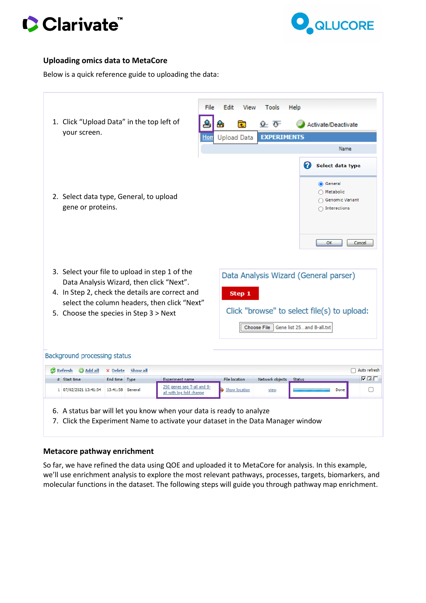



### **Uploading omics data to MetaCore**

Below is a quick reference guide to uploading the data:

| 1. Click "Upload Data" in the top left of<br>your screen.                                                                                                                                                                               | File<br>Help<br>Edit<br>View<br>Tools<br>€<br>$\Omega$ : $\overline{\mathbb{G}}$ :<br>₩<br>È<br>Activate/Deactivate<br><b>EXPERIMENTS</b><br><b>Upload Data</b><br>Hon<br>Name |  |  |  |  |
|-----------------------------------------------------------------------------------------------------------------------------------------------------------------------------------------------------------------------------------------|--------------------------------------------------------------------------------------------------------------------------------------------------------------------------------|--|--|--|--|
| 2. Select data type, General, to upload<br>gene or proteins.                                                                                                                                                                            | Select data type<br>◉ General<br>◯ Metabolic<br>◯ Genomic Variant<br>$\cap$ Interactions<br><b>OK</b><br>Cancel                                                                |  |  |  |  |
| 3. Select your file to upload in step 1 of the<br>Data Analysis Wizard, then click "Next".<br>4. In Step 2, check the details are correct and<br>select the column headers, then click "Next"<br>5. Choose the species in Step 3 > Next | Data Analysis Wizard (General parser)<br>Step 1<br>Click "browse" to select file(s) to upload:<br><b>Choose File</b><br>Gene list 25and B-all.txt                              |  |  |  |  |
| Background processing status                                                                                                                                                                                                            |                                                                                                                                                                                |  |  |  |  |
| <b>B</b> Refresh<br><b>O</b> Add all<br>Show all<br>X Delete                                                                                                                                                                            | Auto refresh                                                                                                                                                                   |  |  |  |  |
| End time Type<br># Start time<br><b>Experiment name</b>                                                                                                                                                                                 | F E E<br><b>File location</b><br>Network objects<br><b>Status</b>                                                                                                              |  |  |  |  |
| 250 genes sep T-all and B-                                                                                                                                                                                                              |                                                                                                                                                                                |  |  |  |  |

7. Click the Experiment Name to activate your dataset in the Data Manager window

#### **Metacore pathway enrichment**

So far, we have refined the data using QOE and uploaded it to MetaCore for analysis. In this example, we'll use enrichment analysis to explore the most relevant pathways, processes, targets, biomarkers, and molecular functions in the dataset. The following steps will guide you through pathway map enrichment.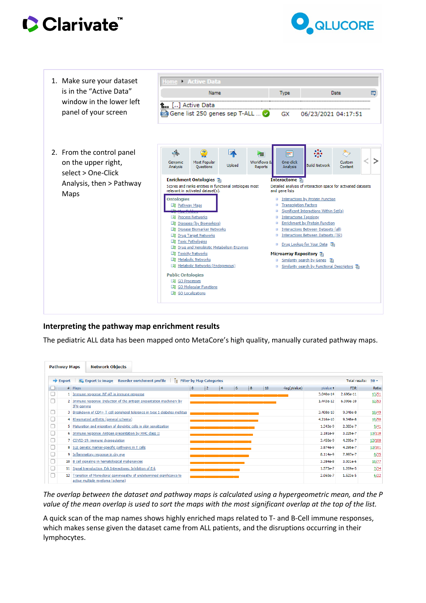





#### **Interpreting the pathway map enrichment results**

The pediatric ALL data has been mapped onto MetaCore's high quality, manually curated pathway maps.

|                                                                                                                                                       | <b>Pathway Maps</b> | <b>Network Objects</b>                                                                                     |           |            |        |  |  |  |  |  |  |
|-------------------------------------------------------------------------------------------------------------------------------------------------------|---------------------|------------------------------------------------------------------------------------------------------------|-----------|------------|--------|--|--|--|--|--|--|
| <b>Reorder enrichment profile</b><br>Export to image<br><b>E:</b> Filter by Map Categories<br><b>Total results:</b><br>$\Rightarrow$ Export<br>$50 -$ |                     |                                                                                                            |           |            |        |  |  |  |  |  |  |
|                                                                                                                                                       |                     | $-log(pValue)$<br>$\overline{2}$<br>6<br>$^{\circ}8$<br>10<br>$#$ Maps<br>$\pm 0$<br> 4                    | pValue +  | <b>FDR</b> | Ratio  |  |  |  |  |  |  |
| с                                                                                                                                                     |                     | 1 Immune response NF-AT in immune response                                                                 | 3.040e-14 | 2.696e-11  | 13/51  |  |  |  |  |  |  |
| с<br>2 Immune response Induction of the antigen presentation machinery by<br>IFN-gamma                                                                |                     |                                                                                                            | 1.443e-12 | 6.399e-10  | 12/53  |  |  |  |  |  |  |
| c                                                                                                                                                     |                     | 3 Breakdown of CD4+ T cell peripheral tolerance in type 1 diabetes mellitus                                | 3.408e-10 | 9.348e-8   | 10/49  |  |  |  |  |  |  |
| с                                                                                                                                                     |                     | 4 Rheumatoid arthritis (general schema)                                                                    | 4.216e-10 | 9.348e-8   | 10/50  |  |  |  |  |  |  |
| с                                                                                                                                                     |                     | 5 Maturation and migration of dendritic cells in skin sensitization                                        | 1.343e-9  | 2.383e-7   | 9/41   |  |  |  |  |  |  |
| c                                                                                                                                                     |                     | 6 Immune response Antigen presentation by MHC class II                                                     | 2.181e-9  | 3.225e-7   | 13/118 |  |  |  |  |  |  |
| с                                                                                                                                                     |                     | 7 COVID-19: immune dysregulation                                                                           | 3.450e-9  | 4.295e-7   | 12/100 |  |  |  |  |  |  |
| с                                                                                                                                                     |                     | 8 SLE genetic marker-specific pathways in T cells                                                          | 3.874e-9  | 4.295e-7   | 12/101 |  |  |  |  |  |  |
| с                                                                                                                                                     |                     | 9 Inflammatory response in dry eye                                                                         | 8.114e-9  | 7.997e-7   | 8/35   |  |  |  |  |  |  |
| С                                                                                                                                                     |                     | 10 B cell signaling in hematological malignancies                                                          | 3.384e-8  | $3.001e-6$ | 10/77  |  |  |  |  |  |  |
| С                                                                                                                                                     |                     | 11 Signal transduction Erk Interactions: Inhibition of Erk                                                 | 1.573e-7  | 1.269e-5   | 7/34   |  |  |  |  |  |  |
| Г                                                                                                                                                     |                     | 12 Transition of Monoclonal gammopathy of undetermined significance to<br>active multiple myeloma (schema) | 2.060e-7  | 1.523e-5   | 6/22   |  |  |  |  |  |  |

*The overlap between the dataset and pathway maps is calculated using a hypergeometric mean, and the P value of the mean overlap is used to sort the maps with the most significant overlap at the top of the list.*

A quick scan of the map names shows highly enriched maps related to T- and B-Cell immune responses, which makes sense given the dataset came from ALL patients, and the disruptions occurring in their lymphocytes.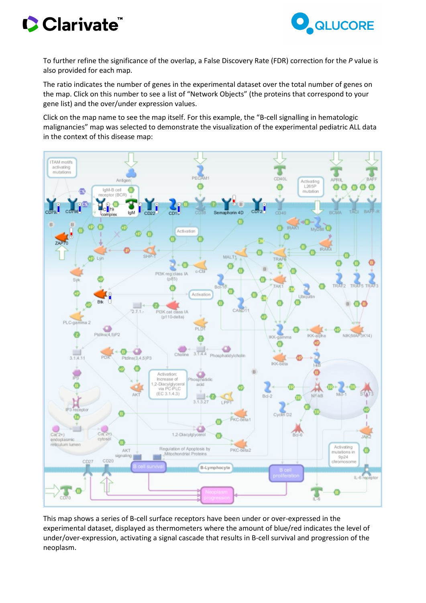# Clarivate



To further refine the significance of the overlap, a False Discovery Rate (FDR) correction for the *P* value is also provided for each map.

The ratio indicates the number of genes in the experimental dataset over the total number of genes on the map. Click on this number to see a list of "Network Objects" (the proteins that correspond to your gene list) and the over/under expression values.

Click on the map name to see the map itself. For this example, the "B-cell signalling in hematologic malignancies" map was selected to demonstrate the visualization of the experimental pediatric ALL data in the context of this disease map:



This map shows a series of B-cell surface receptors have been under or over-expressed in the experimental dataset, displayed as thermometers where the amount of blue/red indicates the level of under/over-expression, activating a signal cascade that results in B-cell survival and progression of the neoplasm.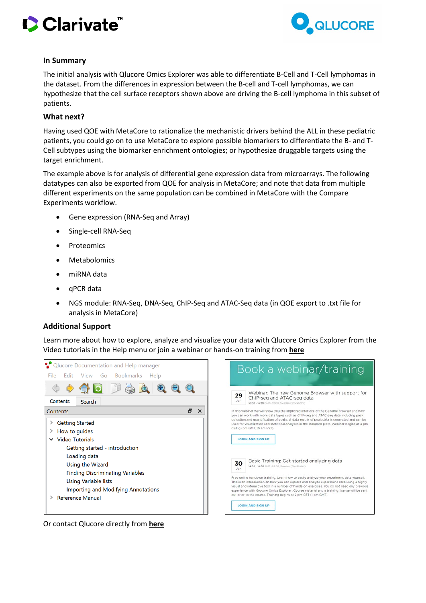



#### **In Summary**

The initial analysis with Qlucore Omics Explorer was able to differentiate B-Cell and T-Cell lymphomas in the dataset. From the differences in expression between the B-cell and T-cell lymphomas, we can hypothesize that the cell surface receptors shown above are driving the B-cell lymphoma in this subset of patients.

#### **What next?**

Having used QOE with MetaCore to rationalize the mechanistic drivers behind the ALL in these pediatric patients, you could go on to use MetaCore to explore possible biomarkers to differentiate the B- and T-Cell subtypes using the biomarker enrichment ontologies; or hypothesize druggable targets using the target enrichment.

The example above is for analysis of differential gene expression data from microarrays. The following datatypes can also be exported from QOE for analysis in MetaCore; and note that data from multiple different experiments on the same population can be combined in MetaCore with the Compare Experiments workflow.

- Gene expression (RNA-Seq and Array)
- Single-cell RNA-Seq
- Proteomics
- Metabolomics
- miRNA data
- qPCR data
- NGS module: RNA-Seq, DNA-Seq, ChIP-Seq and ATAC-Seq data (in QOE export to .txt file for analysis in MetaCore)

#### <span id="page-6-0"></span>**Additional Support**

Learn more about how to explore, analyze and visualize your data with Qlucore Omics Explorer from the Video tutorials in the Help menu or join a webinar or hands-on training from **[here](https://www.qlucore.com/webinar)**



Or contact Qlucore directly from **[here](https://www.qlucore.com/contact)**